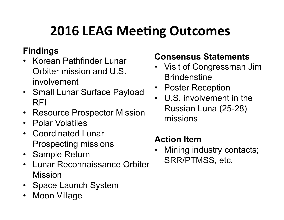# **2016 LEAG Meeting Outcomes**

### **Findings**

- Korean Pathfinder Lunar Orbiter mission and U.S. involvement
- Small Lunar Surface Payload RFI
- Resource Prospector Mission
- Polar Volatiles
- Coordinated Lunar Prospecting missions
- Sample Return
- Lunar Reconnaissance Orbiter Mission
- Space Launch System
- Moon Village

### **Consensus Statements**

- Visit of Congressman Jim **Brindenstine**
- Poster Reception
- U.S. involvement in the Russian Luna (25-28) missions

### **Action Item**

Mining industry contacts; SRR/PTMSS, etc.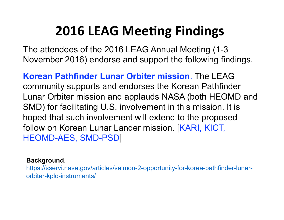The attendees of the 2016 LEAG Annual Meeting (1-3 November 2016) endorse and support the following findings.

**Korean Pathfinder Lunar Orbiter mission**. The LEAG community supports and endorses the Korean Pathfinder Lunar Orbiter mission and applauds NASA (both HEOMD and SMD) for facilitating U.S. involvement in this mission. It is hoped that such involvement will extend to the proposed follow on Korean Lunar Lander mission. [KARI, KICT, HEOMD-AES, SMD-PSD]

#### **Background**.

https://sservi.nasa.gov/articles/salmon-2-opportunity-for-korea-pathfinder-lunarorbiter-kplo-instruments/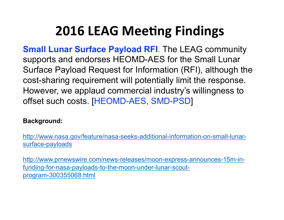**Small Lunar Surface Payload RFI**. The LEAG community supports and endorses HEOMD-AES for the Small Lunar Surface Payload Request for Information (RFI), although the cost-sharing requirement will potentially limit the response. However, we applaud commercial industry's willingness to offset such costs. [HEOMD-AES, SMD-PSD]

#### **Background:**

http://www.nasa.gov/feature/nasa-seeks-additional-information-on-small-lunarsurface-payloads

http://www.prnewswire.com/news-releases/moon-express-announces-15m-infunding-for-nasa-payloads-to-the-moon-under-lunar-scoutprogram-300355068.html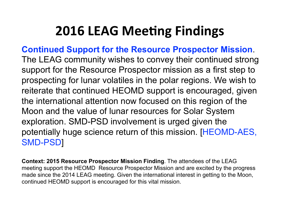**Continued Support for the Resource Prospector Mission**. The LEAG community wishes to convey their continued strong support for the Resource Prospector mission as a first step to prospecting for lunar volatiles in the polar regions. We wish to reiterate that continued HEOMD support is encouraged, given the international attention now focused on this region of the Moon and the value of lunar resources for Solar System exploration. SMD-PSD involvement is urged given the potentially huge science return of this mission. [HEOMD-AES, SMD-PSD]

**Context: 2015 Resource Prospector Mission Finding**. The attendees of the LEAG meeting support the HEOMD Resource Prospector Mission and are excited by the progress made since the 2014 LEAG meeting. Given the international interest in getting to the Moon, continued HEOMD support is encouraged for this vital mission.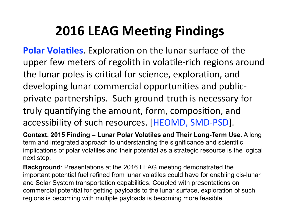**Polar Volatiles.** Exploration on the lunar surface of the upper few meters of regolith in volatile-rich regions around the lunar poles is critical for science, exploration, and developing lunar commercial opportunities and publicprivate partnerships. Such ground-truth is necessary for truly quantifying the amount, form, composition, and accessibility of such resources. [HEOMD, SMD-PSD].

**Context. 2015 Finding – Lunar Polar Volatiles and Their Long-Term Use**. A long term and integrated approach to understanding the significance and scientific implications of polar volatiles and their potential as a strategic resource is the logical next step.

**Background**: Presentations at the 2016 LEAG meeting demonstrated the important potential fuel refined from lunar volatiles could have for enabling cis-lunar and Solar System transportation capabilities. Coupled with presentations on commercial potential for getting payloads to the lunar surface, exploration of such regions is becoming with multiple payloads is becoming more feasible.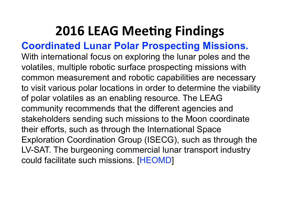### **Coordinated Lunar Polar Prospecting Missions.**

With international focus on exploring the lunar poles and the volatiles, multiple robotic surface prospecting missions with common measurement and robotic capabilities are necessary to visit various polar locations in order to determine the viability of polar volatiles as an enabling resource. The LEAG community recommends that the different agencies and stakeholders sending such missions to the Moon coordinate their efforts, such as through the International Space Exploration Coordination Group (ISECG), such as through the LV-SAT. The burgeoning commercial lunar transport industry could facilitate such missions. [HEOMD]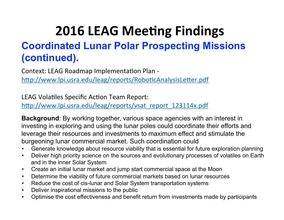### **Coordinated Lunar Polar Prospecting Missions (continued). 2016 LEAG Meeting Findings**

Context: LEAG Roadmap Implementation Plan http://www.lpi.usra.edu/leag/reports/RoboticAnalysisLetter.pdf

LEAG Volatiles Specific Action Team Report: http://www.lpi.usra.edu/leag/reports/vsat\_report\_123114x.pdf

**Background**: By working together, various space agencies with an interest in investing in exploring and using the lunar poles could coordinate their efforts and leverage their resources and investments to maximum effect and stimulate the burgeoning lunar commercial market. Such coordination could

- Generate knowledge about resource viability that is essential for future exploration planning
- Deliver high priority science on the sources and evolutionary processes of volatiles on Earth and in the inner Solar System
- Create an initial lunar market and jump start commercial space at the Moon
- Determine the viability of future commercial markets based on lunar resources
- Reduce the cost of cis-lunar and Solar System transportation systems
- Deliver inspirational missions to the public
- Optimise the cost effectiveness and benefit return from investments made by participants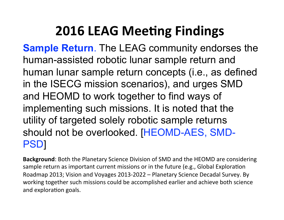**Sample Return**. The LEAG community endorses the human-assisted robotic lunar sample return and human lunar sample return concepts (i.e., as defined in the ISECG mission scenarios), and urges SMD and HEOMD to work together to find ways of implementing such missions. It is noted that the utility of targeted solely robotic sample returns should not be overlooked. [HEOMD-AES, SMD-PSD]

**Background:** Both the Planetary Science Division of SMD and the HEOMD are considering sample return as important current missions or in the future (e.g., Global Exploration Roadmap 2013; Vision and Voyages 2013-2022 – Planetary Science Decadal Survey. By working together such missions could be accomplished earlier and achieve both science and exploration goals.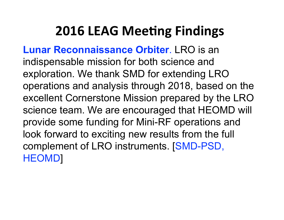**Lunar Reconnaissance Orbiter**. LRO is an indispensable mission for both science and exploration. We thank SMD for extending LRO operations and analysis through 2018, based on the excellent Cornerstone Mission prepared by the LRO science team. We are encouraged that HEOMD will provide some funding for Mini-RF operations and look forward to exciting new results from the full complement of LRO instruments. [SMD-PSD, HEOMD]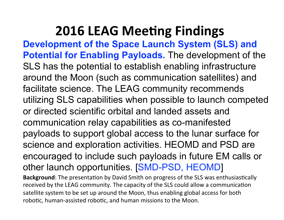**Development of the Space Launch System (SLS) and Potential for Enabling Payloads.** The development of the SLS has the potential to establish enabling infrastructure around the Moon (such as communication satellites) and facilitate science. The LEAG community recommends utilizing SLS capabilities when possible to launch competed or directed scientific orbital and landed assets and communication relay capabilities as co-manifested payloads to support global access to the lunar surface for science and exploration activities. HEOMD and PSD are encouraged to include such payloads in future EM calls or other launch opportunities. [SMD-PSD, HEOMD] **Background**: The presentation by David Smith on progress of the SLS was enthusiastically received by the LEAG community. The capacity of the SLS could allow a communication satellite system to be set up around the Moon, thus enabling global access for both robotic, human-assisted robotic, and human missions to the Moon.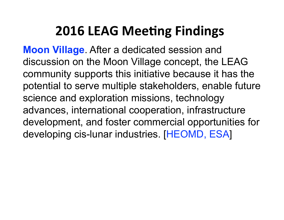**Moon Village**. After a dedicated session and discussion on the Moon Village concept, the LEAG community supports this initiative because it has the potential to serve multiple stakeholders, enable future science and exploration missions, technology advances, international cooperation, infrastructure development, and foster commercial opportunities for developing cis-lunar industries. [HEOMD, ESA]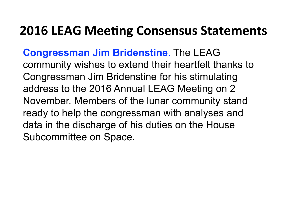### **2016 LEAG Meeting Consensus Statements**

**Congressman Jim Bridenstine**. The LEAG community wishes to extend their heartfelt thanks to Congressman Jim Bridenstine for his stimulating address to the 2016 Annual LEAG Meeting on 2 November. Members of the lunar community stand ready to help the congressman with analyses and data in the discharge of his duties on the House Subcommittee on Space.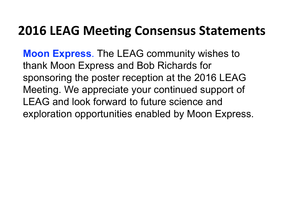### **2016 LEAG Meeting Consensus Statements**

**Moon Express**. The LEAG community wishes to thank Moon Express and Bob Richards for sponsoring the poster reception at the 2016 LEAG Meeting. We appreciate your continued support of LEAG and look forward to future science and exploration opportunities enabled by Moon Express.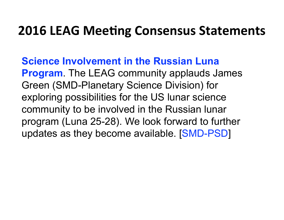### **2016 LEAG Meeting Consensus Statements**

**Science Involvement in the Russian Luna Program**. The LEAG community applauds James Green (SMD-Planetary Science Division) for exploring possibilities for the US lunar science community to be involved in the Russian lunar program (Luna 25-28). We look forward to further updates as they become available. [SMD-PSD]